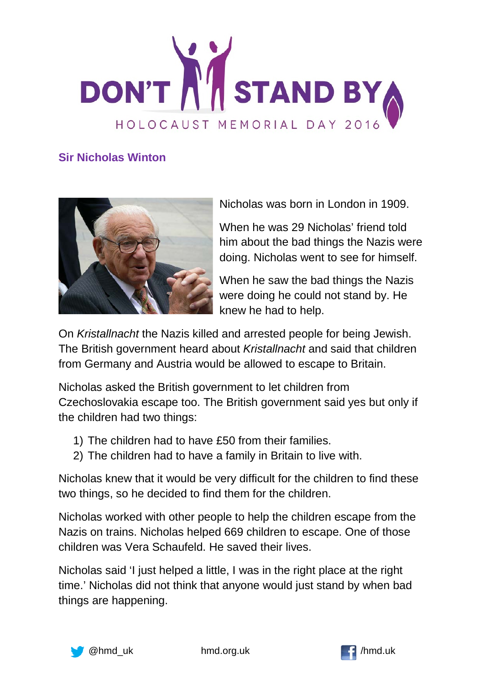

## **Sir Nicholas Winton**



Nicholas was born in London in 1909.

When he was 29 Nicholas' friend told him about the bad things the Nazis were doing. Nicholas went to see for himself.

When he saw the bad things the Nazis were doing he could not stand by. He knew he had to help.

On *Kristallnacht* the Nazis killed and arrested people for being Jewish. The British government heard about *Kristallnacht* and said that children from Germany and Austria would be allowed to escape to Britain.

Nicholas asked the British government to let children from Czechoslovakia escape too. The British government said yes but only if the children had two things:

- 1) The children had to have £50 from their families.
- 2) The children had to have a family in Britain to live with.

Nicholas knew that it would be very difficult for the children to find these two things, so he decided to find them for the children.

Nicholas worked with other people to help the children escape from the Nazis on trains. Nicholas helped 669 children to escape. One of those children was Vera Schaufeld. He saved their lives.

Nicholas said 'I just helped a little, I was in the right place at the right time.' Nicholas did not think that anyone would just stand by when bad things are happening.